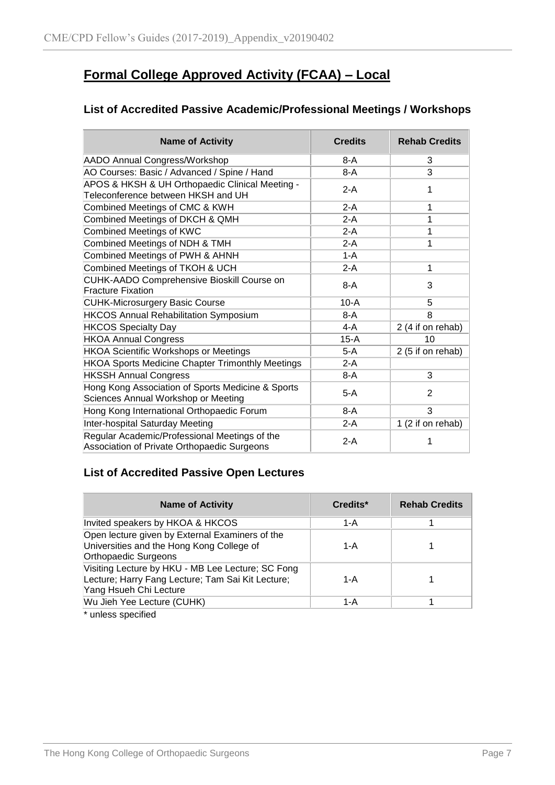## **Formal College Approved Activity (FCAA) – Local**

### **List of Accredited Passive Academic/Professional Meetings / Workshops**

| <b>Name of Activity</b>                                                                      | <b>Credits</b> | <b>Rehab Credits</b> |
|----------------------------------------------------------------------------------------------|----------------|----------------------|
| AADO Annual Congress/Workshop                                                                | 8-A            | 3                    |
| AO Courses: Basic / Advanced / Spine / Hand                                                  | $8-A$          | 3                    |
| APOS & HKSH & UH Orthopaedic Clinical Meeting -<br>Teleconference between HKSH and UH        | $2-A$          | 1                    |
| Combined Meetings of CMC & KWH                                                               | $2-A$          | 1                    |
| Combined Meetings of DKCH & QMH                                                              | $2-A$          | 1                    |
| <b>Combined Meetings of KWC</b>                                                              | $2-A$          | 1                    |
| Combined Meetings of NDH & TMH                                                               | $2-A$          | 1                    |
| Combined Meetings of PWH & AHNH                                                              | $1-A$          |                      |
| Combined Meetings of TKOH & UCH                                                              | $2-A$          | 1                    |
| CUHK-AADO Comprehensive Bioskill Course on<br><b>Fracture Fixation</b>                       | $8-A$          | 3                    |
| <b>CUHK-Microsurgery Basic Course</b>                                                        | $10-A$         | 5                    |
| <b>HKCOS Annual Rehabilitation Symposium</b>                                                 | $8-A$          | 8                    |
| <b>HKCOS Specialty Day</b>                                                                   | $4-A$          | 2 (4 if on rehab)    |
| <b>HKOA Annual Congress</b>                                                                  | 15-A           | 10                   |
| <b>HKOA Scientific Workshops or Meetings</b>                                                 | $5-A$          | 2 (5 if on rehab)    |
| <b>HKOA Sports Medicine Chapter Trimonthly Meetings</b>                                      | $2-A$          |                      |
| <b>HKSSH Annual Congress</b>                                                                 | $8-A$          | 3                    |
| Hong Kong Association of Sports Medicine & Sports<br>Sciences Annual Workshop or Meeting     | $5-A$          | 2                    |
| Hong Kong International Orthopaedic Forum                                                    | $8-A$          | 3                    |
| Inter-hospital Saturday Meeting                                                              | $2-A$          | 1 (2 if on rehab)    |
| Regular Academic/Professional Meetings of the<br>Association of Private Orthopaedic Surgeons | $2-A$          |                      |

#### **List of Accredited Passive Open Lectures**

| <b>Name of Activity</b>                                                                                                          | Credits* | <b>Rehab Credits</b> |
|----------------------------------------------------------------------------------------------------------------------------------|----------|----------------------|
| Invited speakers by HKOA & HKCOS                                                                                                 | 1-A      |                      |
| Open lecture given by External Examiners of the<br>Universities and the Hong Kong College of<br>Orthopaedic Surgeons             | 1-A      |                      |
| Visiting Lecture by HKU - MB Lee Lecture; SC Fong<br>Lecture; Harry Fang Lecture; Tam Sai Kit Lecture;<br>Yang Hsueh Chi Lecture | 1-A      |                      |
| Wu Jieh Yee Lecture (CUHK)                                                                                                       | 1-A      |                      |

\* unless specified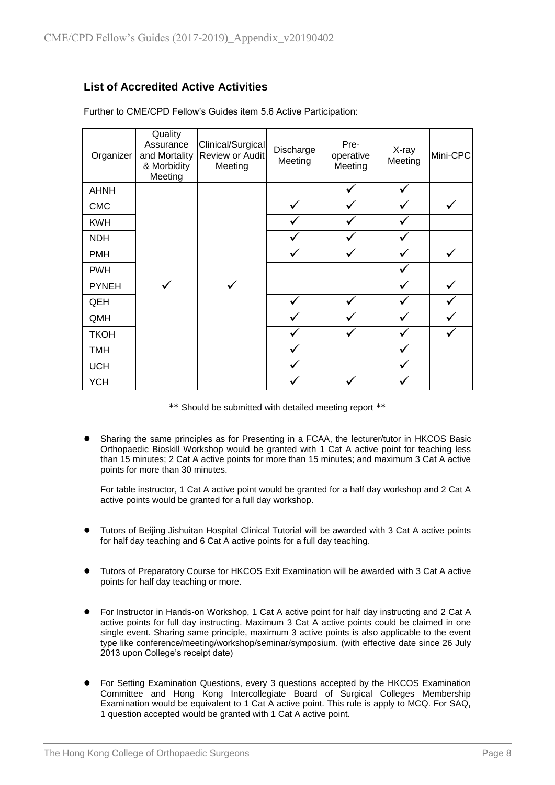#### **List of Accredited Active Activities**

| Organizer    | Quality<br>Assurance<br>and Mortality<br>& Morbidity<br>Meeting | Clinical/Surgical<br>Review or Audit<br>Meeting | Discharge<br>Meeting | Pre-<br>operative<br>Meeting | X-ray<br>Meeting | Mini-CPC     |
|--------------|-----------------------------------------------------------------|-------------------------------------------------|----------------------|------------------------------|------------------|--------------|
| <b>AHNH</b>  |                                                                 |                                                 |                      |                              |                  |              |
| <b>CMC</b>   |                                                                 |                                                 |                      |                              |                  | ✓            |
| <b>KWH</b>   |                                                                 |                                                 |                      |                              |                  |              |
| <b>NDH</b>   |                                                                 |                                                 |                      |                              |                  |              |
| <b>PMH</b>   |                                                                 |                                                 |                      |                              |                  | ✓            |
| <b>PWH</b>   |                                                                 |                                                 |                      |                              |                  |              |
| <b>PYNEH</b> |                                                                 | ✓                                               |                      |                              |                  | ✓            |
| QEH          |                                                                 |                                                 |                      |                              |                  |              |
| QMH          |                                                                 |                                                 |                      |                              |                  | $\checkmark$ |
| <b>TKOH</b>  |                                                                 |                                                 |                      |                              |                  |              |
| TMH          |                                                                 |                                                 |                      |                              |                  |              |
| <b>UCH</b>   |                                                                 |                                                 |                      |                              |                  |              |
| <b>YCH</b>   |                                                                 |                                                 |                      |                              |                  |              |

Further to CME/CPD Fellow's Guides item 5.6 Active Participation:

\*\* Should be submitted with detailed meeting report \*\*

 Sharing the same principles as for Presenting in a FCAA, the lecturer/tutor in HKCOS Basic Orthopaedic Bioskill Workshop would be granted with 1 Cat A active point for teaching less than 15 minutes; 2 Cat A active points for more than 15 minutes; and maximum 3 Cat A active points for more than 30 minutes.

For table instructor, 1 Cat A active point would be granted for a half day workshop and 2 Cat A active points would be granted for a full day workshop.

- Tutors of Beijing Jishuitan Hospital Clinical Tutorial will be awarded with 3 Cat A active points for half day teaching and 6 Cat A active points for a full day teaching.
- Tutors of Preparatory Course for HKCOS Exit Examination will be awarded with 3 Cat A active points for half day teaching or more.
- For Instructor in Hands-on Workshop, 1 Cat A active point for half day instructing and 2 Cat A active points for full day instructing. Maximum 3 Cat A active points could be claimed in one single event. Sharing same principle, maximum 3 active points is also applicable to the event type like conference/meeting/workshop/seminar/symposium. (with effective date since 26 July 2013 upon College's receipt date)
- For Setting Examination Questions, every 3 questions accepted by the HKCOS Examination Committee and Hong Kong Intercollegiate Board of Surgical Colleges Membership Examination would be equivalent to 1 Cat A active point. This rule is apply to MCQ. For SAQ, 1 question accepted would be granted with 1 Cat A active point.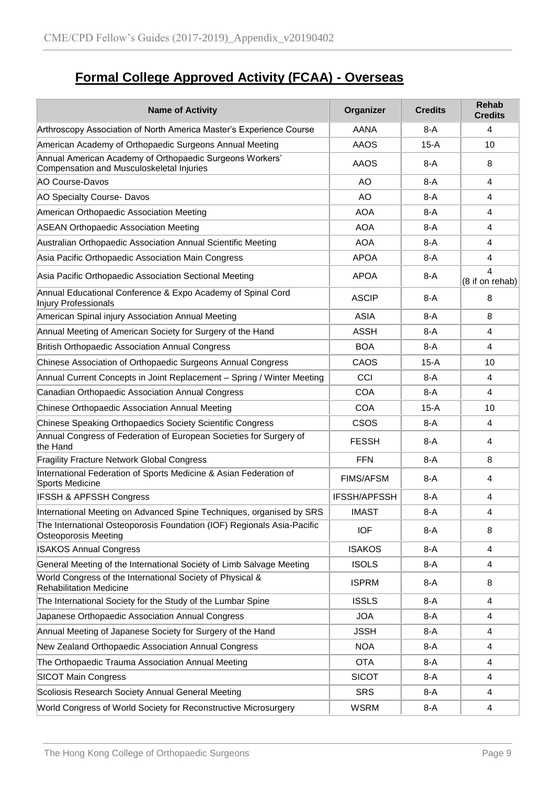# **Formal College Approved Activity (FCAA) - Overseas**

| <b>Name of Activity</b>                                                                               | Organizer           | <b>Credits</b> | <b>Rehab</b><br><b>Credits</b> |
|-------------------------------------------------------------------------------------------------------|---------------------|----------------|--------------------------------|
| Arthroscopy Association of North America Master's Experience Course                                   | AANA                | $8-A$          | 4                              |
| American Academy of Orthopaedic Surgeons Annual Meeting                                               | <b>AAOS</b>         | $15-A$         | 10                             |
| Annual American Academy of Orthopaedic Surgeons Workers'<br>Compensation and Musculoskeletal Injuries | <b>AAOS</b>         | $8-A$          | 8                              |
| AO Course-Davos                                                                                       | AO                  | $8-A$          | 4                              |
| AO Specialty Course- Davos                                                                            | <b>AO</b>           | $8-A$          | 4                              |
| American Orthopaedic Association Meeting                                                              | <b>AOA</b>          | $8-A$          | 4                              |
| <b>ASEAN Orthopaedic Association Meeting</b>                                                          | <b>AOA</b>          | $8-A$          | 4                              |
| Australian Orthopaedic Association Annual Scientific Meeting                                          | <b>AOA</b>          | $8-A$          | 4                              |
| Asia Pacific Orthopaedic Association Main Congress                                                    | <b>APOA</b>         | $8-A$          | 4                              |
| Asia Pacific Orthopaedic Association Sectional Meeting                                                | <b>APOA</b>         | $8-A$          | 4<br>(8 if on rehab)           |
| Annual Educational Conference & Expo Academy of Spinal Cord<br><b>Injury Professionals</b>            | <b>ASCIP</b>        | $8-A$          | 8                              |
| American Spinal injury Association Annual Meeting                                                     | <b>ASIA</b>         | $8-A$          | 8                              |
| Annual Meeting of American Society for Surgery of the Hand                                            | <b>ASSH</b>         | $8-A$          | 4                              |
| <b>British Orthopaedic Association Annual Congress</b>                                                | <b>BOA</b>          | 8-A            | 4                              |
| Chinese Association of Orthopaedic Surgeons Annual Congress                                           | CAOS                | $15-A$         | 10                             |
| Annual Current Concepts in Joint Replacement - Spring / Winter Meeting                                | CCI                 | $8-A$          | 4                              |
| Canadian Orthopaedic Association Annual Congress                                                      | <b>COA</b>          | $8-A$          | 4                              |
| Chinese Orthopaedic Association Annual Meeting                                                        | <b>COA</b>          | $15-A$         | 10                             |
| Chinese Speaking Orthopaedics Society Scientific Congress                                             | <b>CSOS</b>         | $8-A$          | 4                              |
| Annual Congress of Federation of European Societies for Surgery of<br>the Hand                        | <b>FESSH</b>        | $8-A$          | 4                              |
| <b>Fragility Fracture Network Global Congress</b>                                                     | <b>FFN</b>          | $8-A$          | 8                              |
| International Federation of Sports Medicine & Asian Federation of<br>Sports Medicine                  | <b>FIMS/AFSM</b>    | $8-A$          | 4                              |
| <b>IFSSH &amp; APFSSH Congress</b>                                                                    | <b>IFSSH/APFSSH</b> | $8-A$          | 4                              |
| International Meeting on Advanced Spine Techniques, organised by SRS                                  | IMAST               | 8-A            | 4                              |
| The International Osteoporosis Foundation (IOF) Regionals Asia-Pacific<br><b>Osteoporosis Meeting</b> | <b>IOF</b>          | $8-A$          | 8                              |
| <b>ISAKOS Annual Congress</b>                                                                         | <b>ISAKOS</b>       | 8-A            | 4                              |
| General Meeting of the International Society of Limb Salvage Meeting                                  | <b>ISOLS</b>        | $8-A$          | 4                              |
| World Congress of the International Society of Physical &<br><b>Rehabilitation Medicine</b>           | <b>ISPRM</b>        | 8-A            | 8                              |
| The International Society for the Study of the Lumbar Spine                                           | <b>ISSLS</b>        | 8-A            | 4                              |
| Japanese Orthopaedic Association Annual Congress                                                      | <b>JOA</b>          | 8-A            | 4                              |
| Annual Meeting of Japanese Society for Surgery of the Hand                                            | <b>JSSH</b>         | 8-A            | 4                              |
| New Zealand Orthopaedic Association Annual Congress                                                   | <b>NOA</b>          | 8-A            | 4                              |
| The Orthopaedic Trauma Association Annual Meeting                                                     | <b>OTA</b>          | 8-A            | 4                              |
| <b>SICOT Main Congress</b>                                                                            | <b>SICOT</b>        | 8-A            | 4                              |
| Scoliosis Research Society Annual General Meeting                                                     | <b>SRS</b>          | 8-A            | 4                              |
| World Congress of World Society for Reconstructive Microsurgery                                       | <b>WSRM</b>         | $8-A$          | 4                              |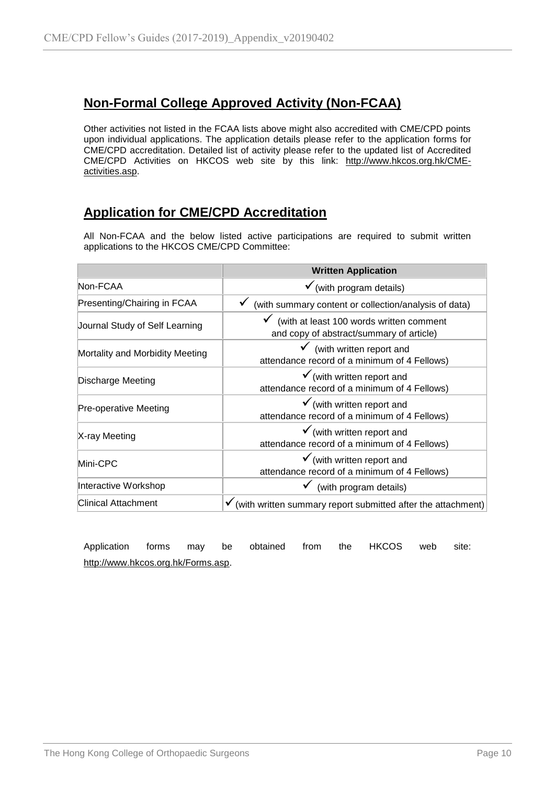## **Non-Formal College Approved Activity (Non-FCAA)**

Other activities not listed in the FCAA lists above might also accredited with CME/CPD points upon individual applications. The application details please refer to the application forms for CME/CPD accreditation. Detailed list of activity please refer to the updated list of Accredited CME/CPD Activities on HKCOS web site by this link: [http://www.hkcos.org.hk/CME](http://www.hkcos.org.hk/CME-activities.asp)[activities.asp.](http://www.hkcos.org.hk/CME-activities.asp)

## **Application for CME/CPD Accreditation**

All Non-FCAA and the below listed active participations are required to submit written applications to the HKCOS CME/CPD Committee:

|                                 | <b>Written Application</b>                                                                        |
|---------------------------------|---------------------------------------------------------------------------------------------------|
| Non-FCAA                        | $\checkmark$ (with program details)                                                               |
| Presenting/Chairing in FCAA     | (with summary content or collection/analysis of data)                                             |
| Journal Study of Self Learning  | $\checkmark$ (with at least 100 words written comment<br>and copy of abstract/summary of article) |
| Mortality and Morbidity Meeting | $\checkmark$ (with written report and<br>attendance record of a minimum of 4 Fellows)             |
| Discharge Meeting               | $\checkmark$ (with written report and<br>attendance record of a minimum of 4 Fellows)             |
| <b>Pre-operative Meeting</b>    | $\checkmark$ (with written report and<br>attendance record of a minimum of 4 Fellows)             |
| X-ray Meeting                   | $\checkmark$ (with written report and<br>attendance record of a minimum of 4 Fellows)             |
| Mini-CPC                        | $\checkmark$ (with written report and<br>attendance record of a minimum of 4 Fellows)             |
| Interactive Workshop            | $\checkmark$ (with program details)                                                               |
| <b>Clinical Attachment</b>      | $\checkmark$ (with written summary report submitted after the attachment)                         |

Application forms may be obtained from the HKCOS web site: [http://www.hkcos.org.hk/Forms.asp.](http://www.hkcos.org.hk/Forms.asp)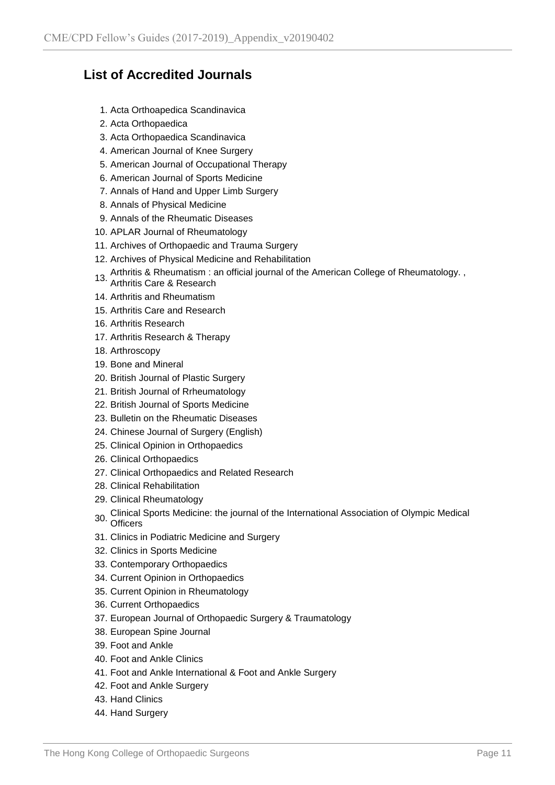## **List of Accredited Journals**

- 1. Acta Orthoapedica Scandinavica
- 2. Acta Orthopaedica
- 3. Acta Orthopaedica Scandinavica
- 4. American Journal of Knee Surgery
- 5. American Journal of Occupational Therapy
- 6. American Journal of Sports Medicine
- 7. Annals of Hand and Upper Limb Surgery
- 8. Annals of Physical Medicine
- 9. Annals of the Rheumatic Diseases
- 10. APLAR Journal of Rheumatology
- 11. Archives of Orthopaedic and Trauma Surgery
- 12. Archives of Physical Medicine and Rehabilitation
- 13. Arthritis & Rheumatism : an official journal of the American College of Rheumatology. ,
- Arthritis Care & Research
- 14. Arthritis and Rheumatism
- 15. Arthritis Care and Research
- 16. Arthritis Research
- 17. Arthritis Research & Therapy
- 18. Arthroscopy
- 19. Bone and Mineral
- 20. British Journal of Plastic Surgery
- 21. British Journal of Rrheumatology
- 22. British Journal of Sports Medicine
- 23. Bulletin on the Rheumatic Diseases
- 24. Chinese Journal of Surgery (English)
- 25. Clinical Opinion in Orthopaedics
- 26. Clinical Orthopaedics
- 27. Clinical Orthopaedics and Related Research
- 28. Clinical Rehabilitation
- 29. Clinical Rheumatology
- 30. Clinical Sports Medicine: the journal of the International Association of Olympic Medical<br>Officers **Officers**
- 31. Clinics in Podiatric Medicine and Surgery
- 32. Clinics in Sports Medicine
- 33. Contemporary Orthopaedics
- 34. Current Opinion in Orthopaedics
- 35. Current Opinion in Rheumatology
- 36. Current Orthopaedics
- 37. European Journal of Orthopaedic Surgery & Traumatology
- 38. European Spine Journal
- 39. Foot and Ankle
- 40. Foot and Ankle Clinics
- 41. Foot and Ankle International & Foot and Ankle Surgery
- 42. Foot and Ankle Surgery
- 43. Hand Clinics
- 44. Hand Surgery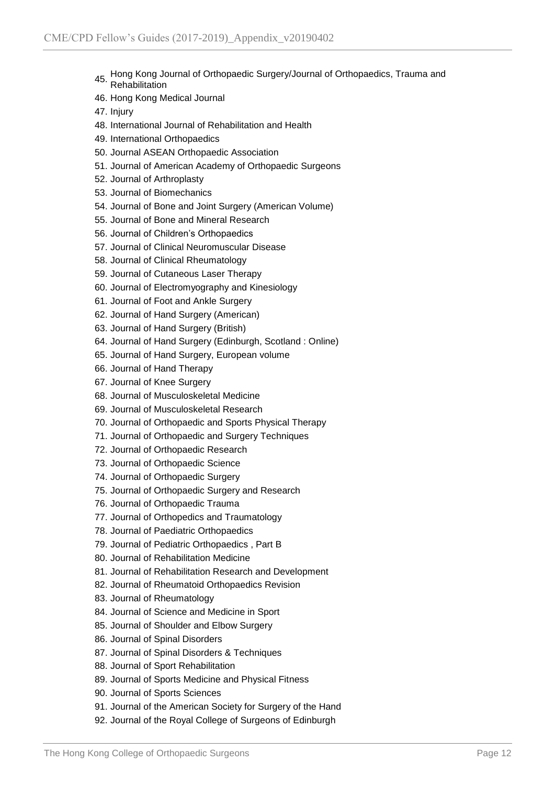- 45. Hong Kong Journal of Orthopaedic Surgery/Journal of Orthopaedics, Trauma and Rehabilitation
- 46. Hong Kong Medical Journal
- 47. Injury
- 48. International Journal of Rehabilitation and Health
- 49. International Orthopaedics
- 50. Journal ASEAN Orthopaedic Association
- 51. Journal of American Academy of Orthopaedic Surgeons
- 52. Journal of Arthroplasty
- 53. Journal of Biomechanics
- 54. Journal of Bone and Joint Surgery (American Volume)
- 55. Journal of Bone and Mineral Research
- 56. Journal of Children's Orthopaedics
- 57. Journal of Clinical Neuromuscular Disease
- 58. Journal of Clinical Rheumatology
- 59. Journal of Cutaneous Laser Therapy
- 60. Journal of Electromyography and Kinesiology
- 61. Journal of Foot and Ankle Surgery
- 62. Journal of Hand Surgery (American)
- 63. Journal of Hand Surgery (British)
- 64. Journal of Hand Surgery (Edinburgh, Scotland : Online)
- 65. Journal of Hand Surgery, European volume
- 66. Journal of Hand Therapy
- 67. Journal of Knee Surgery
- 68. Journal of Musculoskeletal Medicine
- 69. Journal of Musculoskeletal Research
- 70. Journal of Orthopaedic and Sports Physical Therapy
- 71. Journal of Orthopaedic and Surgery Techniques
- 72. Journal of Orthopaedic Research
- 73. Journal of Orthopaedic Science
- 74. Journal of Orthopaedic Surgery
- 75. Journal of Orthopaedic Surgery and Research
- 76. Journal of Orthopaedic Trauma
- 77. Journal of Orthopedics and Traumatology
- 78. Journal of Paediatric Orthopaedics
- 79. Journal of Pediatric Orthopaedics , Part B
- 80. Journal of Rehabilitation Medicine
- 81. Journal of Rehabilitation Research and Development
- 82. Journal of Rheumatoid Orthopaedics Revision
- 83. Journal of Rheumatology
- 84. Journal of Science and Medicine in Sport
- 85. Journal of Shoulder and Elbow Surgery
- 86. Journal of Spinal Disorders
- 87. Journal of Spinal Disorders & Techniques
- 88. Journal of Sport Rehabilitation
- 89. Journal of Sports Medicine and Physical Fitness
- 90. Journal of Sports Sciences
- 91. Journal of the American Society for Surgery of the Hand
- 92. Journal of the Royal College of Surgeons of Edinburgh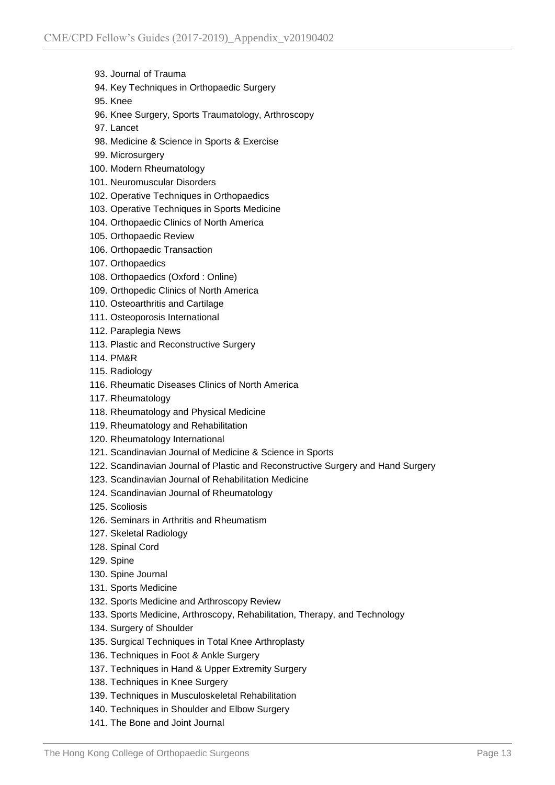- 93. Journal of Trauma
- 94. Key Techniques in Orthopaedic Surgery
- 95. Knee
- 96. Knee Surgery, Sports Traumatology, Arthroscopy
- 97. Lancet
- 98. Medicine & Science in Sports & Exercise
- 99. Microsurgery
- 100. Modern Rheumatology
- 101. Neuromuscular Disorders
- 102. Operative Techniques in Orthopaedics
- 103. Operative Techniques in Sports Medicine
- 104. Orthopaedic Clinics of North America
- 105. Orthopaedic Review
- 106. Orthopaedic Transaction
- 107. Orthopaedics
- 108. Orthopaedics (Oxford : Online)
- 109. Orthopedic Clinics of North America
- 110. Osteoarthritis and Cartilage
- 111. Osteoporosis International
- 112. Paraplegia News
- 113. Plastic and Reconstructive Surgery
- 114. PM&R
- 115. Radiology
- 116. Rheumatic Diseases Clinics of North America
- 117. Rheumatology
- 118. Rheumatology and Physical Medicine
- 119. Rheumatology and Rehabilitation
- 120. Rheumatology International
- 121. Scandinavian Journal of Medicine & Science in Sports
- 122. Scandinavian Journal of Plastic and Reconstructive Surgery and Hand Surgery
- 123. Scandinavian Journal of Rehabilitation Medicine
- 124. Scandinavian Journal of Rheumatology
- 125. Scoliosis
- 126. Seminars in Arthritis and Rheumatism
- 127. Skeletal Radiology
- 128. Spinal Cord
- 129. Spine
- 130. Spine Journal
- 131. Sports Medicine
- 132. Sports Medicine and Arthroscopy Review
- 133. Sports Medicine, Arthroscopy, Rehabilitation, Therapy, and Technology
- 134. Surgery of Shoulder
- 135. Surgical Techniques in Total Knee Arthroplasty
- 136. Techniques in Foot & Ankle Surgery
- 137. Techniques in Hand & Upper Extremity Surgery
- 138. Techniques in Knee Surgery
- 139. Techniques in Musculoskeletal Rehabilitation
- 140. Techniques in Shoulder and Elbow Surgery
- 141. The Bone and Joint Journal